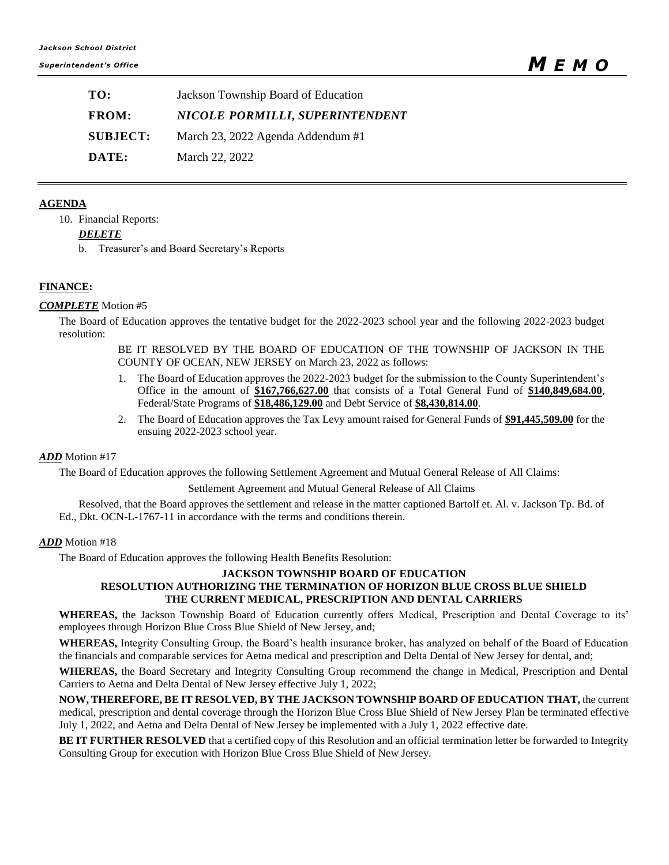| TO:             | Jackson Township Board of Education |
|-----------------|-------------------------------------|
| <b>FROM:</b>    | NICOLE PORMILLI, SUPERINTENDENT     |
| <b>SUBJECT:</b> | March 23, 2022 Agenda Addendum #1   |
| DATE:           | March 22, 2022                      |

### **AGENDA**

10. Financial Reports:

*DELETE*

b. Treasurer's and Board Secretary's Reports

# **FINANCE:**

### *COMPLETE* Motion #5

The Board of Education approves the tentative budget for the 2022-2023 school year and the following 2022-2023 budget resolution:

> BE IT RESOLVED BY THE BOARD OF EDUCATION OF THE TOWNSHIP OF JACKSON IN THE COUNTY OF OCEAN, NEW JERSEY on March 23, 2022 as follows:

- 1. The Board of Education approves the 2022-2023 budget for the submission to the County Superintendent's Office in the amount of **\$167,766,627.00** that consists of a Total General Fund of **\$140,849,684.00**, Federal/State Programs of **\$18,486,129.00** and Debt Service of **\$8,430,814.00**.
- 2. The Board of Education approves the Tax Levy amount raised for General Funds of **\$91,445,509.00** for the ensuing 2022-2023 school year.

### *ADD* Motion #17

The Board of Education approves the following Settlement Agreement and Mutual General Release of All Claims:

Settlement Agreement and Mutual General Release of All Claims

Resolved, that the Board approves the settlement and release in the matter captioned Bartolf et. Al. v. Jackson Tp. Bd. of Ed., Dkt. OCN-L-1767-11 in accordance with the terms and conditions therein.

### *ADD* Motion #18

The Board of Education approves the following Health Benefits Resolution:

#### **JACKSON TOWNSHIP BOARD OF EDUCATION RESOLUTION AUTHORIZING THE TERMINATION OF HORIZON BLUE CROSS BLUE SHIELD THE CURRENT MEDICAL, PRESCRIPTION AND DENTAL CARRIERS**

**WHEREAS,** the Jackson Township Board of Education currently offers Medical, Prescription and Dental Coverage to its' employees through Horizon Blue Cross Blue Shield of New Jersey, and;

**WHEREAS,** Integrity Consulting Group, the Board's health insurance broker, has analyzed on behalf of the Board of Education the financials and comparable services for Aetna medical and prescription and Delta Dental of New Jersey for dental, and;

**WHEREAS,** the Board Secretary and Integrity Consulting Group recommend the change in Medical, Prescription and Dental Carriers to Aetna and Delta Dental of New Jersey effective July 1, 2022;

**NOW, THEREFORE, BE IT RESOLVED, BY THE JACKSON TOWNSHIP BOARD OF EDUCATION THAT,** the current medical, prescription and dental coverage through the Horizon Blue Cross Blue Shield of New Jersey Plan be terminated effective July 1, 2022, and Aetna and Delta Dental of New Jersey be implemented with a July 1, 2022 effective date.

**BE IT FURTHER RESOLVED** that a certified copy of this Resolution and an official termination letter be forwarded to Integrity Consulting Group for execution with Horizon Blue Cross Blue Shield of New Jersey.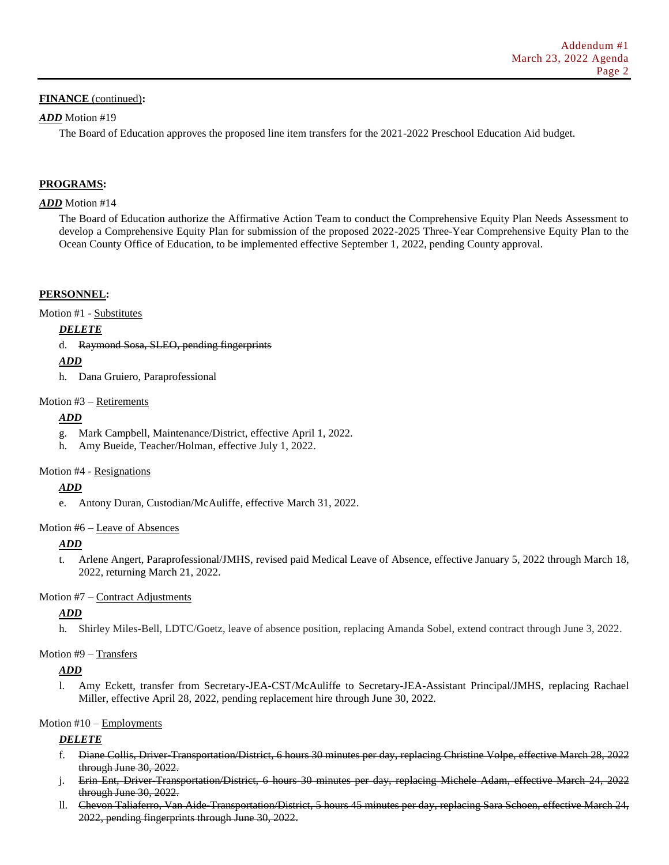### **FINANCE** (continued)**:**

### *ADD* Motion #19

The Board of Education approves the proposed line item transfers for the 2021-2022 Preschool Education Aid budget.

# **PROGRAMS:**

### *ADD* Motion #14

The Board of Education authorize the Affirmative Action Team to conduct the Comprehensive Equity Plan Needs Assessment to develop a Comprehensive Equity Plan for submission of the proposed 2022-2025 Three-Year Comprehensive Equity Plan to the Ocean County Office of Education, to be implemented effective September 1, 2022, pending County approval.

### **PERSONNEL:**

Motion #1 - Substitutes

*DELETE*

### d. Raymond Sosa, SLEO, pending fingerprints

# *ADD*

h. Dana Gruiero, Paraprofessional

### Motion #3 – Retirements

# *ADD*

- g. Mark Campbell, Maintenance/District, effective April 1, 2022.
- h. Amy Bueide, Teacher/Holman, effective July 1, 2022.

### Motion #4 - Resignations

# *ADD*

e. Antony Duran, Custodian/McAuliffe, effective March 31, 2022.

### Motion #6 – Leave of Absences

# *ADD*

t. Arlene Angert, Paraprofessional/JMHS, revised paid Medical Leave of Absence, effective January 5, 2022 through March 18, 2022, returning March 21, 2022.

### Motion #7 – Contract Adjustments

# *ADD*

h. Shirley Miles-Bell, LDTC/Goetz, leave of absence position, replacing Amanda Sobel, extend contract through June 3, 2022.

### Motion #9 – Transfers

# *ADD*

l. Amy Eckett, transfer from Secretary-JEA-CST/McAuliffe to Secretary-JEA-Assistant Principal/JMHS, replacing Rachael Miller, effective April 28, 2022, pending replacement hire through June 30, 2022.

# Motion #10 – Employments

# *DELETE*

- f. Diane Collis, Driver-Transportation/District, 6 hours 30 minutes per day, replacing Christine Volpe, effective March 28, 2022 through June 30, 2022.
- j. Erin Ent, Driver Transportation/District, 6 hours 30 minutes per day, replacing Michele Adam, effective March 24, 2022 through June 30, 2022.
- ll. Chevon Taliaferro, Van Aide-Transportation/District, 5 hours 45 minutes per day, replacing Sara Schoen, effective March 24, 2022, pending fingerprints through June 30, 2022.